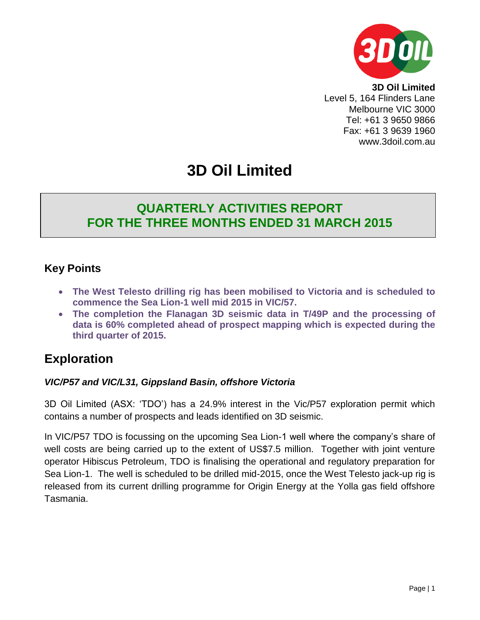

**3D Oil Limited** Level 5, 164 Flinders Lane Melbourne VIC 3000 Tel: +61 3 9650 9866 Fax: +61 3 9639 1960 www.3doil.com.au

# **3D Oil Limited**

### **QUARTERLY ACTIVITIES REPORT FOR THE THREE MONTHS ENDED 31 MARCH 2015**

### **Key Points**

- **The West Telesto drilling rig has been mobilised to Victoria and is scheduled to commence the Sea Lion-1 well mid 2015 in VIC/57.**
- **The completion the Flanagan 3D seismic data in T/49P and the processing of data is 60% completed ahead of prospect mapping which is expected during the third quarter of 2015.**

### **Exploration**

#### *VIC/P57 and VIC/L31, Gippsland Basin, offshore Victoria*

3D Oil Limited (ASX: 'TDO') has a 24.9% interest in the Vic/P57 exploration permit which contains a number of prospects and leads identified on 3D seismic.

In VIC/P57 TDO is focussing on the upcoming Sea Lion-1 well where the company's share of well costs are being carried up to the extent of US\$7.5 million. Together with joint venture operator Hibiscus Petroleum, TDO is finalising the operational and regulatory preparation for Sea Lion-1. The well is scheduled to be drilled mid-2015, once the West Telesto jack-up rig is released from its current drilling programme for Origin Energy at the Yolla gas field offshore Tasmania.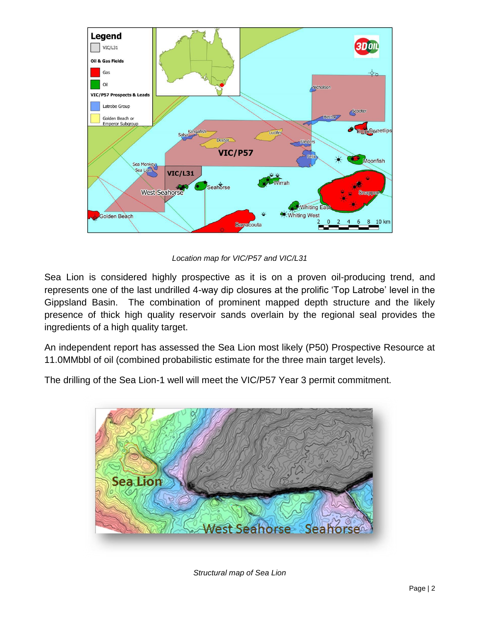

*Location map for VIC/P57 and VIC/L31*

Sea Lion is considered highly prospective as it is on a proven oil-producing trend, and represents one of the last undrilled 4-way dip closures at the prolific 'Top Latrobe' level in the Gippsland Basin. The combination of prominent mapped depth structure and the likely presence of thick high quality reservoir sands overlain by the regional seal provides the ingredients of a high quality target.

An independent report has assessed the Sea Lion most likely (P50) Prospective Resource at 11.0MMbbl of oil (combined probabilistic estimate for the three main target levels).

The drilling of the Sea Lion-1 well will meet the VIC/P57 Year 3 permit commitment.



*Structural map of Sea Lion*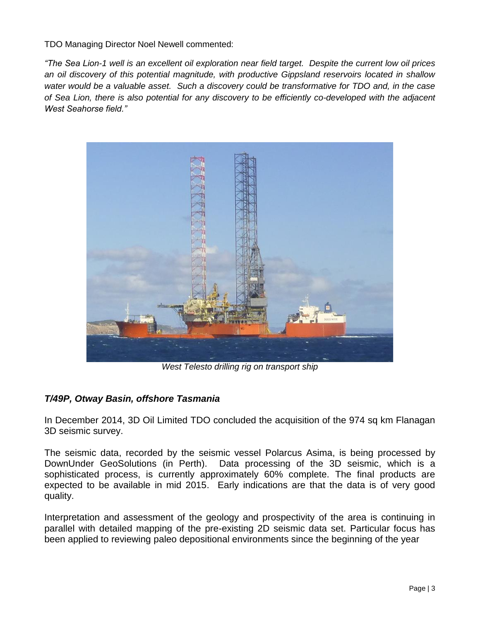TDO Managing Director Noel Newell commented:

*"The Sea Lion-1 well is an excellent oil exploration near field target. Despite the current low oil prices an oil discovery of this potential magnitude, with productive Gippsland reservoirs located in shallow water would be a valuable asset. Such a discovery could be transformative for TDO and, in the case of Sea Lion, there is also potential for any discovery to be efficiently co-developed with the adjacent West Seahorse field."*



*West Telesto drilling rig on transport ship*

#### *T/49P, Otway Basin, offshore Tasmania*

In December 2014, 3D Oil Limited TDO concluded the acquisition of the 974 sq km Flanagan 3D seismic survey.

The seismic data, recorded by the seismic vessel Polarcus Asima, is being processed by DownUnder GeoSolutions (in Perth). Data processing of the 3D seismic, which is a sophisticated process, is currently approximately 60% complete. The final products are expected to be available in mid 2015. Early indications are that the data is of very good quality.

Interpretation and assessment of the geology and prospectivity of the area is continuing in parallel with detailed mapping of the pre-existing 2D seismic data set. Particular focus has been applied to reviewing paleo depositional environments since the beginning of the year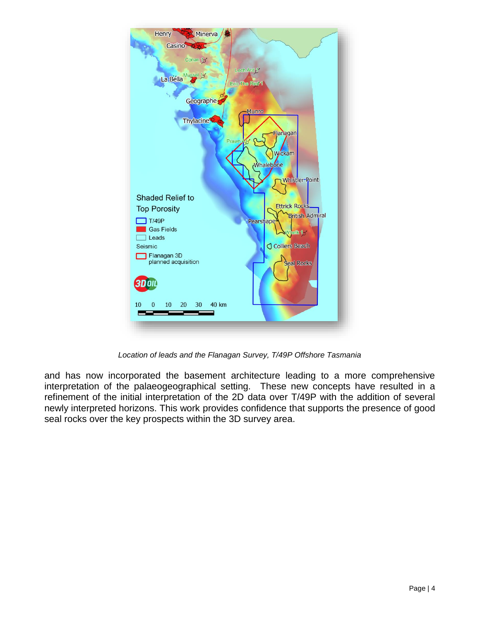

*Location of leads and the Flanagan Survey, T/49P Offshore Tasmania*

and has now incorporated the basement architecture leading to a more comprehensive interpretation of the palaeogeographical setting. These new concepts have resulted in a refinement of the initial interpretation of the 2D data over T/49P with the addition of several newly interpreted horizons. This work provides confidence that supports the presence of good seal rocks over the key prospects within the 3D survey area.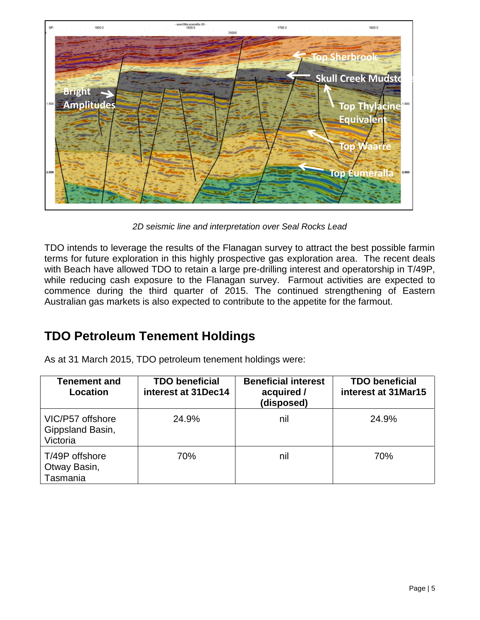

*2D seismic line and interpretation over Seal Rocks Lead*

TDO intends to leverage the results of the Flanagan survey to attract the best possible farmin terms for future exploration in this highly prospective gas exploration area. The recent deals with Beach have allowed TDO to retain a large pre-drilling interest and operatorship in T/49P, while reducing cash exposure to the Flanagan survey. Farmout activities are expected to commence during the third quarter of 2015. The continued strengthening of Eastern Australian gas markets is also expected to contribute to the appetite for the farmout.

### **TDO Petroleum Tenement Holdings**

As at 31 March 2015, TDO petroleum tenement holdings were:

| Tenement and<br>Location                         | <b>TDO beneficial</b><br>interest at 31Dec14 | <b>Beneficial interest</b><br>acquired /<br>(disposed) | <b>TDO beneficial</b><br>interest at 31Mar15 |
|--------------------------------------------------|----------------------------------------------|--------------------------------------------------------|----------------------------------------------|
| VIC/P57 offshore<br>Gippsland Basin,<br>Victoria | 24.9%                                        | nil                                                    | 24.9%                                        |
| T/49P offshore<br>Otway Basin,<br>Tasmania       | 70%                                          | nil                                                    | 70%                                          |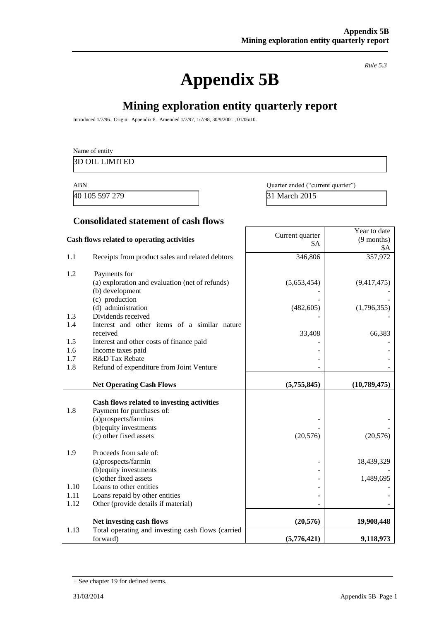# **Appendix 5B**

*Rule 5.3*

Year to date (9 months)

## **Mining exploration entity quarterly report**

Introduced 1/7/96. Origin: Appendix 8. Amended 1/7/97, 1/7/98, 30/9/2001 , 01/06/10.

| Name of entity        |  |  |
|-----------------------|--|--|
| <b>3D OIL LIMITED</b> |  |  |
|                       |  |  |

ABN Quarter ended ("current quarter") 40 105 597 279 31 March 2015

 $SA$ 

#### **Consolidated statement of cash flows**

### **Cash flows related to operating activities** Current quarter

|      |                                                      | ሳህን         | \$A          |
|------|------------------------------------------------------|-------------|--------------|
| 1.1  | Receipts from product sales and related debtors      | 346,806     | 357,972      |
| 1.2  | Payments for                                         |             |              |
|      | (a) exploration and evaluation (net of refunds)      | (5,653,454) | (9,417,475)  |
|      | (b) development                                      |             |              |
|      | (c) production                                       |             |              |
|      | (d) administration                                   | (482, 605)  | (1,796,355)  |
| 1.3  | Dividends received                                   |             |              |
| 1.4  | Interest and other items of a similar nature         |             |              |
| 1.5  | received<br>Interest and other costs of finance paid | 33,408      | 66,383       |
| 1.6  | Income taxes paid                                    |             |              |
| 1.7  | R&D Tax Rebate                                       |             |              |
| 1.8  | Refund of expenditure from Joint Venture             |             |              |
|      |                                                      |             |              |
|      | <b>Net Operating Cash Flows</b>                      | (5,755,845) | (10,789,475) |
|      | Cash flows related to investing activities           |             |              |
| 1.8  | Payment for purchases of:                            |             |              |
|      | (a)prospects/farmins                                 |             |              |
|      | (b) equity investments                               |             |              |
|      | (c) other fixed assets                               | (20, 576)   | (20, 576)    |
|      |                                                      |             |              |
| 1.9  | Proceeds from sale of:                               |             |              |
|      | (a)prospects/farmin                                  |             | 18,439,329   |
|      | (b) equity investments                               |             |              |
| 1.10 | (c) other fixed assets<br>Loans to other entities    |             | 1,489,695    |
| 1.11 | Loans repaid by other entities                       |             |              |
| 1.12 | Other (provide details if material)                  |             |              |
|      |                                                      |             |              |
|      | Net investing cash flows                             | (20, 576)   | 19,908,448   |
| 1.13 | Total operating and investing cash flows (carried    |             |              |
|      | forward)                                             | (5,776,421) | 9,118,973    |

<sup>+</sup> See chapter 19 for defined terms.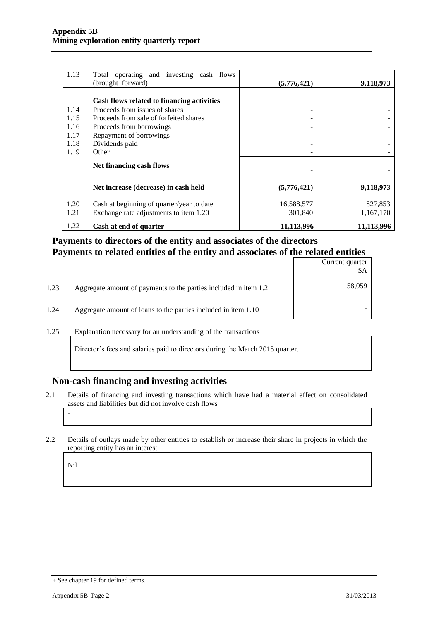| 1.13 | Total operating and investing cash flows<br>(brought forward) | (5,776,421) | 9,118,973  |
|------|---------------------------------------------------------------|-------------|------------|
|      | Cash flows related to financing activities                    |             |            |
| 1.14 | Proceeds from issues of shares                                | -           |            |
| 1.15 | Proceeds from sale of forfeited shares                        | -           |            |
| 1.16 | Proceeds from borrowings                                      | ۰           |            |
| 1.17 | Repayment of borrowings                                       |             |            |
| 1.18 | Dividends paid                                                | -           |            |
| 1.19 | Other                                                         | ۰           |            |
|      | Net financing cash flows                                      |             |            |
|      | Net increase (decrease) in cash held                          | (5,776,421) | 9,118,973  |
| 1.20 | Cash at beginning of quarter/year to date                     | 16,588,577  | 827,853    |
| 1.21 | Exchange rate adjustments to item 1.20                        | 301,840     | 1,167,170  |
| 1.22 | Cash at end of quarter                                        | 11,113,996  | 11,113,996 |

#### **Payments to directors of the entity and associates of the directors Payments to related entities of the entity and associates of the related entities**

|      |                                                                  | Current quarter<br>\$Α |
|------|------------------------------------------------------------------|------------------------|
| 1.23 | Aggregate amount of payments to the parties included in item 1.2 | 158,059                |
| 1.24 | Aggregate amount of loans to the parties included in item 1.10   |                        |

1.25 Explanation necessary for an understanding of the transactions

Director's fees and salaries paid to directors during the March 2015 quarter.

#### **Non-cash financing and investing activities**

- 2.1 Details of financing and investing transactions which have had a material effect on consolidated assets and liabilities but did not involve cash flows
- 2.2 Details of outlays made by other entities to establish or increase their share in projects in which the reporting entity has an interest

Nil

-

<sup>+</sup> See chapter 19 for defined terms.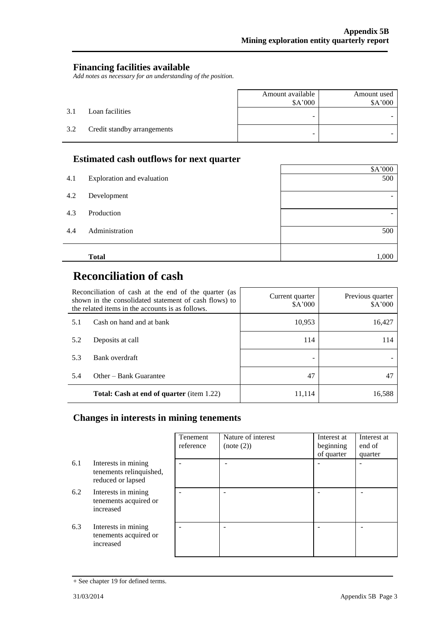#### **Financing facilities available**

*Add notes as necessary for an understanding of the position.*

|     |                             | Amount available<br>\$A'000 | Amount used<br>\$A'000 |
|-----|-----------------------------|-----------------------------|------------------------|
| 3.1 | Loan facilities             | -                           |                        |
| 3.2 | Credit standby arrangements | -                           |                        |

#### **Estimated cash outflows for next quarter**

|     | <b>Total</b>               | 1,000   |
|-----|----------------------------|---------|
| 4.4 | Administration             | 500     |
| 4.3 | Production                 | -       |
| 4.2 | Development                | -       |
| 4.1 | Exploration and evaluation | 500     |
|     |                            | \$A'000 |
|     |                            |         |

 $\mathbf{r}$ 

# **Reconciliation of cash**

| Reconciliation of cash at the end of the quarter (as<br>shown in the consolidated statement of cash flows) to<br>the related items in the accounts is as follows. |                                                  | Current quarter<br>\$A'000 | Previous quarter<br>\$A'000 |
|-------------------------------------------------------------------------------------------------------------------------------------------------------------------|--------------------------------------------------|----------------------------|-----------------------------|
| Cash on hand and at bank<br>5.1                                                                                                                                   |                                                  | 10,953                     | 16,427                      |
| 5.2                                                                                                                                                               | Deposits at call                                 | 114                        | 114                         |
| 5.3                                                                                                                                                               | Bank overdraft                                   |                            |                             |
| 5.4                                                                                                                                                               | Other – Bank Guarantee                           | 47                         | 47                          |
|                                                                                                                                                                   | <b>Total: Cash at end of quarter</b> (item 1.22) | 11,114                     | 16.588                      |

### **Changes in interests in mining tenements**

|     |                                                                     | Tenement<br>reference | Nature of interest<br>(note (2)) | Interest at<br>beginning<br>of quarter | Interest at<br>end of<br>quarter |
|-----|---------------------------------------------------------------------|-----------------------|----------------------------------|----------------------------------------|----------------------------------|
| 6.1 | Interests in mining<br>tenements relinquished,<br>reduced or lapsed |                       | -                                |                                        |                                  |
| 6.2 | Interests in mining<br>tenements acquired or<br>increased           |                       |                                  |                                        |                                  |
| 6.3 | Interests in mining<br>tenements acquired or<br>increased           |                       |                                  |                                        |                                  |

<sup>+</sup> See chapter 19 for defined terms.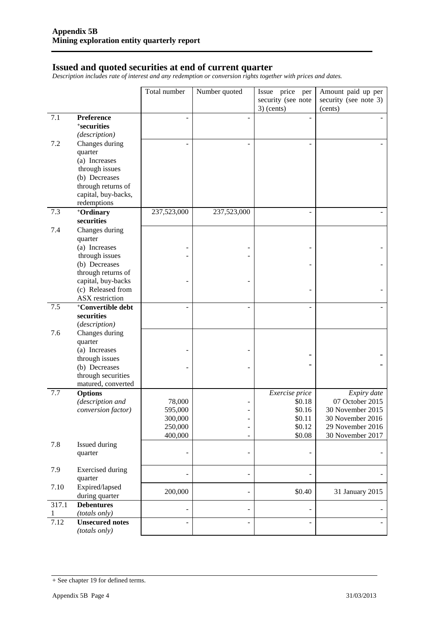#### **Issued and quoted securities at end of current quarter**

*Description includes rate of interest and any redemption or conversion rights together with prices and dates.*

|            |                                    | Total number | Number quoted            | Issue price per<br>security (see note<br>$3)$ (cents) | Amount paid up per<br>security (see note 3)<br>(cents) |
|------------|------------------------------------|--------------|--------------------------|-------------------------------------------------------|--------------------------------------------------------|
| 7.1        | Preference                         |              |                          |                                                       |                                                        |
|            | <sup>+</sup> securities            |              |                          |                                                       |                                                        |
|            | (description)                      |              |                          |                                                       |                                                        |
| 7.2        | Changes during                     |              |                          |                                                       |                                                        |
|            | quarter                            |              |                          |                                                       |                                                        |
|            | (a) Increases                      |              |                          |                                                       |                                                        |
|            | through issues                     |              |                          |                                                       |                                                        |
|            | (b) Decreases                      |              |                          |                                                       |                                                        |
|            | through returns of                 |              |                          |                                                       |                                                        |
|            | capital, buy-backs,                |              |                          |                                                       |                                                        |
| 7.3        | redemptions                        | 237,523,000  | 237,523,000              |                                                       |                                                        |
|            | +Ordinary<br>securities            |              |                          |                                                       |                                                        |
| 7.4        | Changes during                     |              |                          |                                                       |                                                        |
|            | quarter<br>(a) Increases           |              |                          |                                                       |                                                        |
|            | through issues                     |              |                          |                                                       |                                                        |
|            | (b) Decreases                      |              |                          |                                                       |                                                        |
|            | through returns of                 |              |                          |                                                       |                                                        |
|            | capital, buy-backs                 |              |                          |                                                       |                                                        |
|            | (c) Released from                  |              |                          |                                                       |                                                        |
|            | ASX restriction                    |              |                          |                                                       |                                                        |
| 7.5        | <sup>+</sup> Convertible debt      |              |                          |                                                       |                                                        |
|            | securities                         |              |                          |                                                       |                                                        |
|            | (description)                      |              |                          |                                                       |                                                        |
| 7.6        | Changes during                     |              |                          |                                                       |                                                        |
|            | quarter<br>(a) Increases           |              |                          |                                                       |                                                        |
|            | through issues                     |              |                          |                                                       |                                                        |
|            | (b) Decreases                      |              |                          |                                                       |                                                        |
|            | through securities                 |              |                          |                                                       |                                                        |
|            | matured, converted                 |              |                          |                                                       |                                                        |
| 7.7        | <b>Options</b>                     |              |                          | Exercise price                                        | Expiry date                                            |
|            | (description and                   | 78,000       |                          | \$0.18                                                | 07 October 2015                                        |
|            | conversion factor)                 | 595,000      |                          | \$0.16                                                | 30 November 2015                                       |
|            |                                    | 300,000      |                          | \$0.11                                                | 30 November 2016                                       |
|            |                                    | 250,000      | $\overline{a}$           | \$0.12                                                | 29 November 2016                                       |
|            |                                    | 400,000      | $\qquad \qquad -$        | \$0.08                                                | 30 November 2017                                       |
| 7.8        | Issued during<br>quarter           |              | $\overline{\phantom{0}}$ |                                                       |                                                        |
|            |                                    |              |                          |                                                       |                                                        |
| 7.9        | <b>Exercised during</b>            |              |                          |                                                       |                                                        |
|            | quarter                            |              | $\overline{a}$           |                                                       |                                                        |
| 7.10       | Expired/lapsed                     | 200,000      | $\overline{a}$           | \$0.40                                                | 31 January 2015                                        |
|            | during quarter                     |              |                          |                                                       |                                                        |
| 317.1<br>1 | <b>Debentures</b><br>(totals only) |              | $\overline{\phantom{0}}$ |                                                       |                                                        |
| 7.12       | <b>Unsecured notes</b>             |              | Ē,                       |                                                       |                                                        |
|            | (totals only)                      |              |                          |                                                       |                                                        |

<sup>+</sup> See chapter 19 for defined terms.